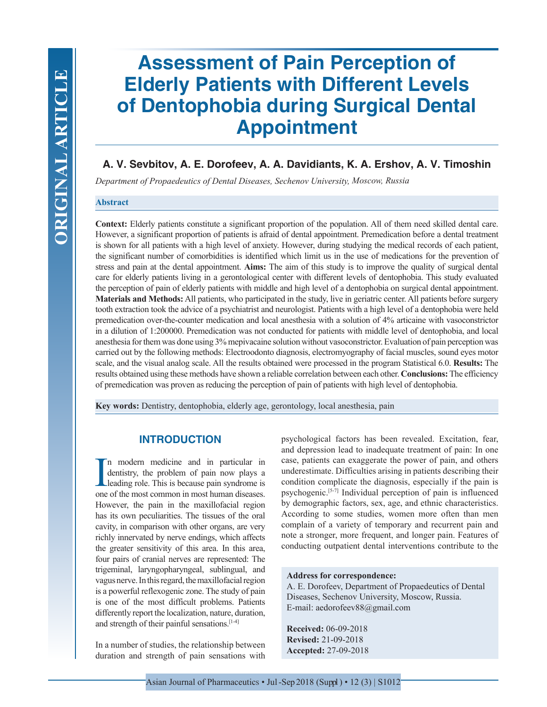# **Assessment of Pain Perception of Elderly Patients with Different Levels of Dentophobia during Surgical Dental Appointment**

# **A. V. Sevbitov, A. E. Dorofeev, A. A. Davidiants, K. A. Ershov, A. V. Timoshin**

*Department of Propaedeutics of Dental Diseases, Sechenov University, Moscow, Russia*

#### **Abstract**

**Context:** Elderly patients constitute a significant proportion of the population. All of them need skilled dental care. However, a significant proportion of patients is afraid of dental appointment. Premedication before a dental treatment is shown for all patients with a high level of anxiety. However, during studying the medical records of each patient, the significant number of comorbidities is identified which limit us in the use of medications for the prevention of stress and pain at the dental appointment. **Aims:** The aim of this study is to improve the quality of surgical dental care for elderly patients living in a gerontological center with different levels of dentophobia. This study evaluated the perception of pain of elderly patients with middle and high level of a dentophobia on surgical dental appointment. **Materials and Methods:** All patients, who participated in the study, live in geriatric center. All patients before surgery tooth extraction took the advice of a psychiatrist and neurologist. Patients with a high level of a dentophobia were held premedication over-the-counter medication and local anesthesia with a solution of 4% articaine with vasoconstrictor in a dilution of 1:200000. Premedication was not conducted for patients with middle level of dentophobia, and local anesthesia for them was done using 3% mepivacaine solution without vasoconstrictor. Evaluation of pain perception was carried out by the following methods: Electroodonto diagnosis, electromyography of facial muscles, sound eyes motor scale, and the visual analog scale. All the results obtained were processed in the program Statistical 6.0. **Results:** The results obtained using these methods have shown a reliable correlation between each other. **Conclusions:** The efficiency of premedication was proven as reducing the perception of pain of patients with high level of dentophobia.

**Key words:** Dentistry, dentophobia, elderly age, gerontology, local anesthesia, pain

## **INTRODUCTION**

I<sub>one</sub> n modern medicine and in particular in dentistry, the problem of pain now plays a leading role. This is because pain syndrome is one of the most common in most human diseases. However, the pain in the maxillofacial region has its own peculiarities. The tissues of the oral cavity, in comparison with other organs, are very richly innervated by nerve endings, which affects the greater sensitivity of this area. In this area, four pairs of cranial nerves are represented: The trigeminal, laryngopharyngeal, sublingual, and vagus nerve. In this regard, the maxillofacial region is a powerful reflexogenic zone. The study of pain is one of the most difficult problems. Patients differently report the localization, nature, duration, and strength of their painful sensations.[1-4]

In a number of studies, the relationship between duration and strength of pain sensations with

psychological factors has been revealed. Excitation, fear, and depression lead to inadequate treatment of pain: In one case, patients can exaggerate the power of pain, and others underestimate. Difficulties arising in patients describing their condition complicate the diagnosis, especially if the pain is psychogenic.[5-7] Individual perception of pain is influenced by demographic factors, sex, age, and ethnic characteristics. According to some studies, women more often than men complain of a variety of temporary and recurrent pain and note a stronger, more frequent, and longer pain. Features of conducting outpatient dental interventions contribute to the

#### **Address for correspondence:**

A. E. Dorofeev, Department of Propaedeutics of Dental Diseases, Sechenov University, Moscow, Russia. E-mail: aedorofeev88@gmail.com

**Received:** 06-09-2018 **Revised:** 21-09-2018 **Accepted:** 27-09-2018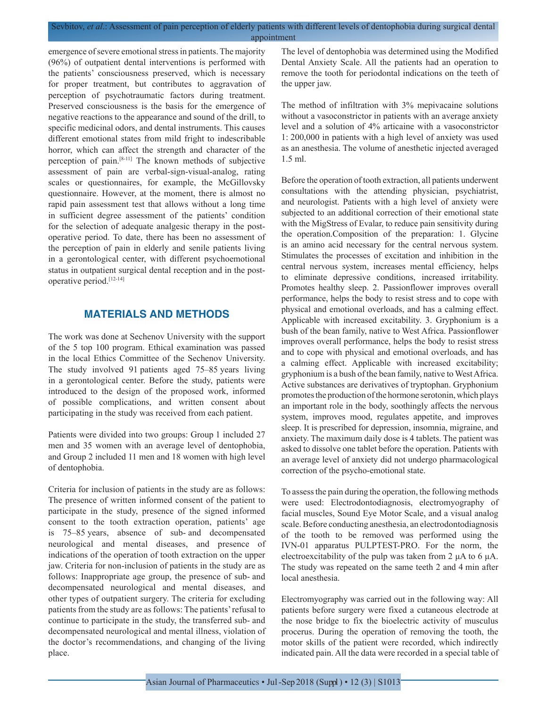#### Sevbitov, *et al*.: Assessment of pain perception of elderly patients with different levels of dentophobia during surgical dental appointment

emergence of severe emotional stress in patients. The majority (96%) of outpatient dental interventions is performed with the patients' consciousness preserved, which is necessary for proper treatment, but contributes to aggravation of perception of psychotraumatic factors during treatment. Preserved consciousness is the basis for the emergence of negative reactions to the appearance and sound of the drill, to specific medicinal odors, and dental instruments. This causes different emotional states from mild fright to indescribable horror, which can affect the strength and character of the perception of pain.[8-11] The known methods of subjective assessment of pain are verbal-sign-visual-analog, rating scales or questionnaires, for example, the McGillovsky questionnaire. However, at the moment, there is almost no rapid pain assessment test that allows without a long time in sufficient degree assessment of the patients' condition for the selection of adequate analgesic therapy in the postoperative period. To date, there has been no assessment of the perception of pain in elderly and senile patients living in a gerontological center, with different psychoemotional status in outpatient surgical dental reception and in the postoperative period.[12-14]

## **MATERIALS AND METHODS**

The work was done at Sechenov University with the support of the 5 top 100 program. Ethical examination was passed in the local Ethics Committee of the Sechenov University. The study involved 91 patients aged 75–85 years living in a gerontological center. Before the study, patients were introduced to the design of the proposed work, informed of possible complications, and written consent about participating in the study was received from each patient.

Patients were divided into two groups: Group 1 included 27 men and 35 women with an average level of dentophobia, and Group 2 included 11 men and 18 women with high level of dentophobia.

Criteria for inclusion of patients in the study are as follows: The presence of written informed consent of the patient to participate in the study, presence of the signed informed consent to the tooth extraction operation, patients' age is 75–85 years, absence of sub- and decompensated neurological and mental diseases, and presence of indications of the operation of tooth extraction on the upper jaw. Criteria for non-inclusion of patients in the study are as follows: Inappropriate age group, the presence of sub- and decompensated neurological and mental diseases, and other types of outpatient surgery. The criteria for excluding patients from the study are as follows: The patients' refusal to continue to participate in the study, the transferred sub- and decompensated neurological and mental illness, violation of the doctor's recommendations, and changing of the living place.

The level of dentophobia was determined using the Modified Dental Anxiety Scale. All the patients had an operation to remove the tooth for periodontal indications on the teeth of the upper jaw.

The method of infiltration with 3% mepivacaine solutions without a vasoconstrictor in patients with an average anxiety level and a solution of 4% articaine with a vasoconstrictor 1: 200,000 in patients with a high level of anxiety was used as an anesthesia. The volume of anesthetic injected averaged 1.5 ml.

Before the operation of tooth extraction, all patients underwent consultations with the attending physician, psychiatrist, and neurologist. Patients with a high level of anxiety were subjected to an additional correction of their emotional state with the MigStress of Evalar, to reduce pain sensitivity during the operation.Composition of the preparation: 1. Glycine is an amino acid necessary for the central nervous system. Stimulates the processes of excitation and inhibition in the central nervous system, increases mental efficiency, helps to eliminate depressive conditions, increased irritability. Promotes healthy sleep. 2. Passionflower improves overall performance, helps the body to resist stress and to cope with physical and emotional overloads, and has a calming effect. Applicable with increased excitability. 3. Gryphonium is a bush of the bean family, native to West Africa. Passionflower improves overall performance, helps the body to resist stress and to cope with physical and emotional overloads, and has a calming effect. Applicable with increased excitability; gryphonium is a bush of the bean family, native to West Africa. Active substances are derivatives of tryptophan. Gryphonium promotes the production of the hormone serotonin, which plays an important role in the body, soothingly affects the nervous system, improves mood, regulates appetite, and improves sleep. It is prescribed for depression, insomnia, migraine, and anxiety. The maximum daily dose is 4 tablets. The patient was asked to dissolve one tablet before the operation. Patients with an average level of anxiety did not undergo pharmacological correction of the psycho-emotional state.

To assess the pain during the operation, the following methods were used: Electrodontodiagnosis, electromyography of facial muscles, Sound Eye Motor Scale, and a visual analog scale. Before conducting anesthesia, an electrodontodiagnosis of the tooth to be removed was performed using the IVN-01 apparatus PULPTEST-PRO. For the norm, the electroexcitability of the pulp was taken from 2 μA to 6 μA. The study was repeated on the same teeth 2 and 4 min after local anesthesia.

Electromyography was carried out in the following way: All patients before surgery were fixed a cutaneous electrode at the nose bridge to fix the bioelectric activity of musculus procerus. During the operation of removing the tooth, the motor skills of the patient were recorded, which indirectly indicated pain. All the data were recorded in a special table of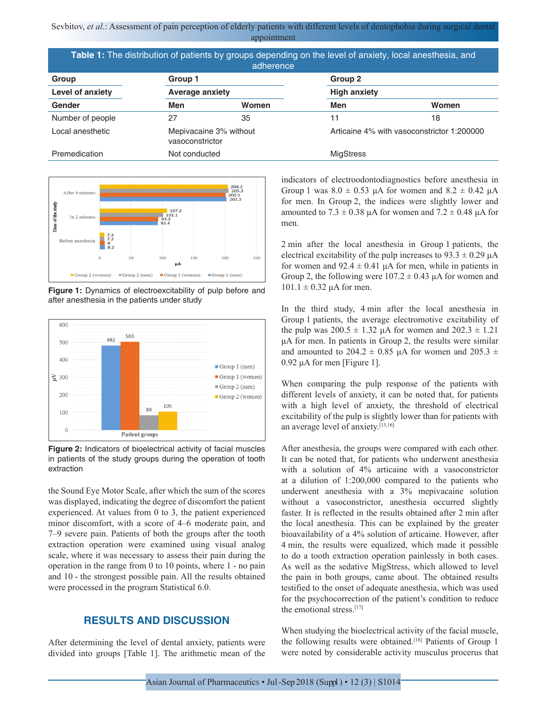Sevbitov, *et al.*: Assessment of pain perception of elderly patients with different levels of dentophobia during surgical dental appointment

| Table 1: The distribution of patients by groups depending on the level of anxiety, local anesthesia, and<br>adherence |                                           |       |                                            |       |
|-----------------------------------------------------------------------------------------------------------------------|-------------------------------------------|-------|--------------------------------------------|-------|
| Group                                                                                                                 | Group 1<br><b>Average anxiety</b>         |       | Group 2<br><b>High anxiety</b>             |       |
| Level of anxiety                                                                                                      |                                           |       |                                            |       |
| Gender                                                                                                                | Men                                       | Women | Men                                        | Women |
| Number of people                                                                                                      | 27                                        | 35    | 11                                         | 18    |
| Local anesthetic                                                                                                      | Mepivacaine 3% without<br>vasoconstrictor |       | Articaine 4% with vasoconstrictor 1:200000 |       |
| Premedication                                                                                                         | Not conducted                             |       | <b>MigStress</b>                           |       |



**Figure 1:** Dynamics of electroexcitability of pulp before and after anesthesia in the patients under study



**Figure 2:** Indicators of bioelectrical activity of facial muscles in patients of the study groups during the operation of tooth extraction

the Sound Eye Motor Scale, after which the sum of the scores was displayed, indicating the degree of discomfort the patient experienced. At values from 0 to 3, the patient experienced minor discomfort, with a score of 4–6 moderate pain, and 7–9 severe pain. Patients of both the groups after the tooth extraction operation were examined using visual analog scale, where it was necessary to assess their pain during the operation in the range from 0 to 10 points, where 1 - no pain and 10 - the strongest possible pain. All the results obtained were processed in the program Statistical 6.0.

## **RESULTS AND DISCUSSION**

After determining the level of dental anxiety, patients were divided into groups [Table 1]. The arithmetic mean of the indicators of electroodontodiagnostics before anesthesia in Group 1 was  $8.0 \pm 0.53$  μA for women and  $8.2 \pm 0.42$  μA for men. In Group 2, the indices were slightly lower and amounted to  $7.3 \pm 0.38$  μA for women and  $7.2 \pm 0.48$  μA for men.

2 min after the local anesthesia in Group 1 patients, the electrical excitability of the pulp increases to  $93.3 \pm 0.29$   $\mu$ A for women and  $92.4 \pm 0.41$   $\mu$ A for men, while in patients in Group 2, the following were  $107.2 \pm 0.43$   $\mu$ A for women and  $101.1 \pm 0.32$  μA for men.

In the third study, 4 min after the local anesthesia in Group 1 patients, the average electromotive excitability of the pulp was  $200.5 \pm 1.32$   $\mu$ A for women and  $202.3 \pm 1.21$ μA for men. In patients in Group 2, the results were similar and amounted to 204.2  $\pm$  0.85 μA for women and 205.3  $\pm$ 0.92 μA for men [Figure 1].

When comparing the pulp response of the patients with different levels of anxiety, it can be noted that, for patients with a high level of anxiety, the threshold of electrical excitability of the pulp is slightly lower than for patients with an average level of anxiety.[15,16]

After anesthesia, the groups were compared with each other. It can be noted that, for patients who underwent anesthesia with a solution of 4% articaine with a vasoconstrictor at a dilution of 1:200,000 compared to the patients who underwent anesthesia with a 3% mepivacaine solution without a vasoconstrictor, anesthesia occurred slightly faster. It is reflected in the results obtained after 2 min after the local anesthesia. This can be explained by the greater bioavailability of a 4% solution of articaine. However, after 4 min, the results were equalized, which made it possible to do a tooth extraction operation painlessly in both cases. As well as the sedative MigStress, which allowed to level the pain in both groups, came about. The obtained results testified to the onset of adequate anesthesia, which was used for the psychocorrection of the patient's condition to reduce the emotional stress.<sup>[17]</sup>

When studying the bioelectrical activity of the facial muscle, the following results were obtained.<sup>[18]</sup> Patients of Group 1 were noted by considerable activity musculus procerus that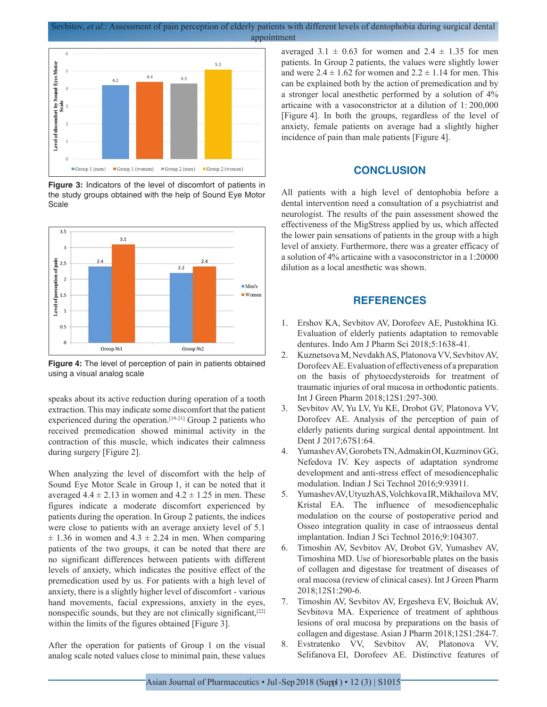Sevbitov, *et al*.: Assessment of pain perception of elderly patients with different levels of dentophobia during surgical dental appointment



**Figure 3:** Indicators of the level of discomfort of patients in the study groups obtained with the help of Sound Eye Motor **Scale** 



**Figure 4:** The level of perception of pain in patients obtained using a visual analog scale

speaks about its active reduction during operation of a tooth extraction. This may indicate some discomfort that the patient experienced during the operation.<sup>[19-21]</sup> Group 2 patients who received premedication showed minimal activity in the contraction of this muscle, which indicates their calmness during surgery [Figure 2].

When analyzing the level of discomfort with the help of Sound Eye Motor Scale in Group 1, it can be noted that it averaged  $4.4 \pm 2.13$  in women and  $4.2 \pm 1.25$  in men. These figures indicate a moderate discomfort experienced by patients during the operation. In Group 2 patients, the indices were close to patients with an average anxiety level of 5.1  $\pm$  1.36 in women and 4.3  $\pm$  2.24 in men. When comparing patients of the two groups, it can be noted that there are no significant differences between patients with different levels of anxiety, which indicates the positive effect of the premedication used by us. For patients with a high level of anxiety, there is a slightly higher level of discomfort - various hand movements, facial expressions, anxiety in the eyes, nonspecific sounds, but they are not clinically significant,[22] within the limits of the figures obtained [Figure 3].

After the operation for patients of Group 1 on the visual analog scale noted values close to minimal pain, these values averaged  $3.1 \pm 0.63$  for women and  $2.4 \pm 1.35$  for men patients. In Group 2 patients, the values were slightly lower and were  $2.4 \pm 1.62$  for women and  $2.2 \pm 1.14$  for men. This can be explained both by the action of premedication and by a stronger local anesthetic performed by a solution of 4% articaine with a vasoconstrictor at a dilution of 1: 200,000 [Figure 4]. In both the groups, regardless of the level of anxiety, female patients on average had a slightly higher incidence of pain than male patients [Figure 4].

## **CONCLUSION**

All patients with a high level of dentophobia before a dental intervention need a consultation of a psychiatrist and neurologist. The results of the pain assessment showed the effectiveness of the MigStress applied by us, which affected the lower pain sensations of patients in the group with a high level of anxiety. Furthermore, there was a greater efficacy of a solution of 4% articaine with a vasoconstrictor in a 1:20000 dilution as a local anesthetic was shown.

## **REFERENCES**

- 1. Ershov KA, Sevbitov AV, Dorofeev AE, Pustokhina IG. Evaluation of elderly patients adaptation to removable dentures. Indo Am J Pharm Sci 2018;5:1638-41.
- 2. Kuznetsova M, Nevdakh AS, Platonova VV, Sevbitov AV, Dorofeev AE. Evaluation of effectiveness of a preparation on the basis of phytoecdysteroids for treatment of traumatic injuries of oral mucosa in orthodontic patients. Int J Green Pharm 2018;12S1:297-300.
- 3. Sevbitov AV, Yu LV, Yu KE, Drobot GV, Platonova VV, Dorofeev AE. Analysis of the perception of pain of elderly patients during surgical dental appointment. Int Dent J 2017;67S1:64.
- 4. Yumashev AV, Gorobets TN, Admakin OI, Kuzminov GG, Nefedova IV. Key aspects of adaptation syndrome development and anti-stress effect of mesodiencephalic modulation. Indian J Sci Technol 2016;9:93911.
- 5. Yumashev AV, Utyuzh AS, Volchkova IR, Mikhailova MV, Kristal EA. The influence of mesodiencephalic modulation on the course of postoperative period and Osseo integration quality in case of intraosseus dental implantation. Indian J Sci Technol 2016;9:104307.
- 6. Timoshin AV, Sevbitov AV, Drobot GV, Yumashev AV, Timoshina MD. Use of bioresorbable plates on the basis of collagen and digestase for treatment of diseases of oral mucosa (review of clinical cases). Int J Green Pharm 2018;12S1:290-6.
- 7. Timoshin AV, Sevbitov AV, Ergesheva EV, Boichuk AV, Sevbitova MA. Experience of treatment of aphthous lesions of oral mucosa by preparations on the basis of collagen and digestase. Asian J Pharm 2018;12S1:284-7.
- 8. Evstratenko VV, Sevbitov AV, Platonova VV, Selifanova EI, Dorofeev AE. Distinctive features of